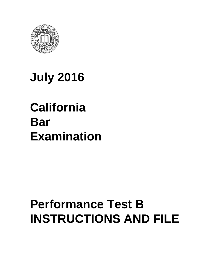

# **July 2016**

# **California Bar Examination**

# **Performance Test B INSTRUCTIONS AND FILE**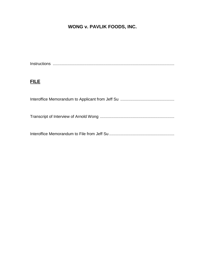## **WONG v. PAVLIK FOODS, INC.**

Instructions ............................................................................................................

## **FILE**

Interoffice Memorandum to Applicant from Jeff Su ................................................ Transcript of Interview of Arnold Wong .................................................................. Interoffice Memorandum to File from Jeff Su ..........................................................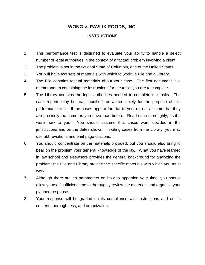### **WONG v. PAVLIK FOODS, INC.**

#### **INSTRUCTIONS**

- 1. This performance test is designed to evaluate your ability to handle a select number of legal authorities in the context of a factual problem involving a client.
- 2. The problem is set in the fictional State of Columbia, one of the United States.
- 3. You will have two sets of materials with which to work: a File and a Library.
- 4. The File contains factual materials about your case. The first document is a memorandum containing the instructions for the tasks you are to complete.
- 5. The Library contains the legal authorities needed to complete the tasks. The case reports may be real, modified, or written solely for the purpose of this performance test. If the cases appear familiar to you, do not assume that they are precisely the same as you have read before. Read each thoroughly, as if it were new to you. You should assume that cases were decided in the jurisdictions and on the dates shown. In citing cases from the Library, you may use abbreviations and omit page citations.
- 6. You should concentrate on the materials provided, but you should also bring to bear on the problem your general knowledge of the law. What you have learned in law school and elsewhere provides the general background for analyzing the problem; the File and Library provide the specific materials with which you must work.
- 7. Although there are no parameters on how to apportion your time, you should allow yourself sufficient time to thoroughly review the materials and organize your planned response.
- 8. Your response will be graded on its compliance with instructions and on its content, thoroughness, and organization.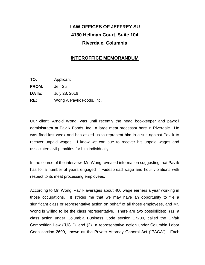# **LAW OFFICES OF JEFFREY SU 4130 Hellman Court, Suite 104 Riverdale, Columbia**

### **INTEROFFICE MEMORANDUM**

| TO:          | Applicant                  |
|--------------|----------------------------|
| FROM:        | Jeff Su                    |
| <b>DATE:</b> | July 28, 2016              |
| RE:          | Wong v. Pavlik Foods, Inc. |

Our client, Arnold Wong, was until recently the head bookkeeper and payroll administrator at Pavlik Foods, Inc., a large meat processor here in Riverdale. He was fired last week and has asked us to represent him in a suit against Pavlik to recover unpaid wages. I know we can sue to recover his unpaid wages and associated civil penalties for him individually.

\_\_\_\_\_\_\_\_\_\_\_\_\_\_\_\_\_\_\_\_\_\_\_\_\_\_\_\_\_\_\_\_\_\_\_\_\_\_\_\_\_\_\_\_\_\_\_\_\_\_\_\_\_\_\_\_\_\_\_\_\_\_\_\_

In the course of the interview, Mr. Wong revealed information suggesting that Pavlik has for a number of years engaged in widespread wage and hour violations with respect to its meat processing employees.

According to Mr. Wong, Pavlik averages about 400 wage earners a year working in those occupations. It strikes me that we may have an opportunity to file a significant class or representative action on behalf of all those employees, and Mr. Wong is willing to be the class representative. There are two possibilities: (1) a class action under Columbia Business Code section 17200, called the Unfair Competition Law ("UCL"), and (2) a representative action under Columbia Labor Code section 2699, known as the Private Attorney General Act ("PAGA"). Each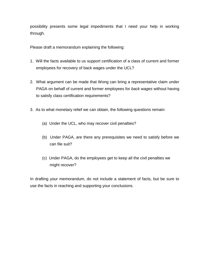possibility presents some legal impediments that I need your help in working through.

Please draft a memorandum explaining the following:

- 1. Will the facts available to us support certification of a class of current and former employees for recovery of back wages under the UCL?
- 2. What argument can be made that Wong can bring a representative claim under PAGA on behalf of current and former employees for *back wages* without having to satisfy class certification requirements?
- 3. As to what monetary relief we can obtain, the following questions remain:
	- (a) Under the UCL, who may recover civil penalties?
	- (b) Under PAGA, are there any prerequisites we need to satisfy before we can file suit?
	- (c) Under PAGA, do the employees get to keep all the civil penalties we might recover?

In drafting your memorandum, do not include a statement of facts, but be sure to use the facts in reaching and supporting your conclusions.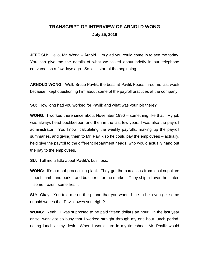## **TRANSCRIPT OF INTERVIEW OF ARNOLD WONG July 25, 2016**

**JEFF SU:** Hello, Mr. Wong – Arnold. I'm glad you could come in to see me today. You can give me the details of what we talked about briefly in our telephone conversation a few days ago. So let's start at the beginning.

**ARNOLD WONG:** Well, Bruce Pavlik, the boss at Pavlik Foods, fired me last week because I kept questioning him about some of the payroll practices at the company.

**SU:** How long had you worked for Pavlik and what was your job there?

**WONG:** I worked there since about November 1996 – something like that. My job was always head bookkeeper, and then in the last few years I was also the payroll administrator. You know, calculating the weekly payrolls, making up the payroll summaries, and giving them to Mr. Pavlik so he could pay the employees – actually, he'd give the payroll to the different department heads, who would actually hand out the pay to the employees.

**SU:** Tell me a little about Pavlik's business.

**WONG:** It's a meat processing plant. They get the carcasses from local suppliers – beef, lamb, and pork – and butcher it for the market. They ship all over the states – some frozen, some fresh.

**SU:** Okay. You told me on the phone that you wanted me to help you get some unpaid wages that Pavlik owes you, right?

**WONG:** Yeah. I was supposed to be paid fifteen dollars an hour. In the last year or so, work got so busy that I worked straight through my one-hour lunch period, eating lunch at my desk. When I would turn in my timesheet, Mr. Pavlik would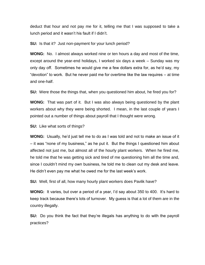deduct that hour and not pay me for it, telling me that I was supposed to take a lunch period and it wasn't his fault if I didn't.

**SU:** Is that it? Just non-payment for your lunch period?

**WONG:** No. I almost always worked nine or ten hours a day and most of the time, except around the year-end holidays, I worked six days a week – Sunday was my only day off. Sometimes he would give me a few dollars extra for, as he'd say, my "devotion" to work. But he never paid me for overtime like the law requires – at time and one-half.

**SU:** Were those the things that, when you questioned him about, he fired you for?

**WONG:** That was part of it. But I was also always being questioned by the plant workers about why they were being shorted. I mean, in the last couple of years I pointed out a number of things about payroll that I thought were wrong.

**SU:** Like what sorts of things?

**WONG:** Usually, he'd just tell me to do as I was told and not to make an issue of it – it was "none of my business," as he put it. But the things I questioned him about affected not just me, but almost all of the hourly plant workers. When he fired me, he told me that he was getting sick and tired of me questioning him all the time and, since I couldn't mind my own business, he told me to clean out my desk and leave. He didn't even pay me what he owed me for the last week's work.

**SU:** Well, first of all, how many hourly plant workers does Pavlik have?

**WONG:** It varies, but over a period of a year, I'd say about 350 to 400. It's hard to keep track because there's lots of turnover. My guess is that a lot of them are in the country illegally.

**SU:** Do you think the fact that they're illegals has anything to do with the payroll practices?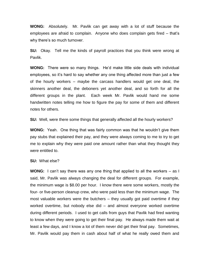**WONG:** Absolutely. Mr. Pavlik can get away with a lot of stuff because the employees are afraid to complain. Anyone who does complain gets fired – that's why there's so much turnover.

**SU:** Okay. Tell me the kinds of payroll practices that you think were wrong at Pavlik.

**WONG:** There were so many things. He'd make little side deals with individual employees, so it's hard to say whether any one thing affected more than just a few of the hourly workers – maybe the carcass handlers would get one deal, the skinners another deal, the deboners yet another deal, and so forth for all the different groups in the plant. Each week Mr. Pavlik would hand me some handwritten notes telling me how to figure the pay for some of them and different notes for others.

**SU:** Well, were there some things that generally affected all the hourly workers?

**WONG:** Yeah. One thing that was fairly common was that he wouldn't give them pay stubs that explained their pay, and they were always coming to me to try to get me to explain why they were paid one amount rather than what they thought they were entitled to.

#### **SU:** What else?

**WONG:** I can't say there was any one thing that applied to all the workers – as I said, Mr. Pavlik was always changing the deal for different groups. For example, the minimum wage is \$8.00 per hour. I know there were some workers, mostly the four- or five-person cleanup crew, who were paid less than the minimum wage. The most valuable workers were the butchers – they usually got paid overtime if they worked overtime, but nobody else did – and almost everyone worked overtime during different periods. I used to get calls from guys that Pavlik had fired wanting to know when they were going to get their final pay. He always made them wait at least a few days, and I know a lot of them never did get their final pay. Sometimes, Mr. Pavlik would pay them in cash about half of what he really owed them and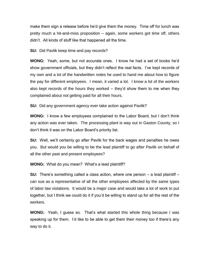make them sign a release before he'd give them the money. Time off for lunch was pretty much a hit-and-miss proposition – again, some workers got time off, others didn't. All kinds of stuff like that happened all the time.

**SU:** Did Pavlik keep time and pay records?

**WONG:** Yeah, some, but not accurate ones. I know he had a set of books he'd show government officials, but they didn't reflect the real facts. I've kept records of my own and a lot of the handwritten notes he used to hand me about how to figure the pay for different employees. I mean, it varied a lot. I know a lot of the workers also kept records of the hours they worked – they'd show them to me when they complained about not getting paid for all their hours.

**SU:** Did any government agency ever take action against Pavlik?

**WONG:** I know a few employees complained to the Labor Board, but I don't think any action was ever taken. The processing plant is way out in Gaston County, so I don't think it was on the Labor Board's priority list.

**SU:** Well, we'll certainly go after Pavlik for the back wages and penalties he owes you. But would you be willing to be the lead plaintiff to go after Pavlik on behalf of all the other past and present employees?

**WONG:** What do you mean? What's a lead plaintiff?

**SU:** There's something called a class action, where one person – a lead plaintiff – can sue as a representative of all the other employees affected by the same types of labor law violations. It would be a major case and would take a lot of work to put together, but I think we could do it if you'd be willing to stand up for all the rest of the workers.

**WONG:** Yeah, I guess so. That's what started this whole thing because I was speaking up for them. I'd like to be able to get them their money too if there's any way to do it.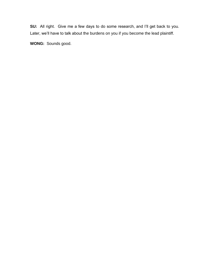**SU:** All right. Give me a few days to do some research, and I'll get back to you. Later, we'll have to talk about the burdens on you if you become the lead plaintiff.

**WONG:** Sounds good.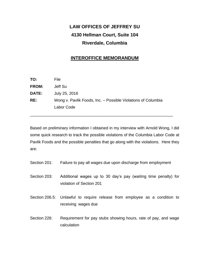# **LAW OFFICES OF JEFFREY SU 4130 Hellman Court, Suite 104 Riverdale, Columbia**

### **INTEROFFICE MEMORANDUM**

| TO:          | File                                                         |
|--------------|--------------------------------------------------------------|
| <b>FROM:</b> | Jeff Su                                                      |
| <b>DATE:</b> | July 25, 2016                                                |
| RE:          | Wong v. Pavlik Foods, Inc. - Possible Violations of Columbia |
|              | Labor Code                                                   |
|              |                                                              |

Based on preliminary information I obtained in my interview with Arnold Wong, I did some quick research to track the possible violations of the Columbia Labor Code at Pavlik Foods and the possible penalties that go along with the violations. Here they are:

\_\_\_\_\_\_\_\_\_\_\_\_\_\_\_\_\_\_\_\_\_\_\_\_\_\_\_\_\_\_\_\_\_\_\_\_\_\_\_\_\_\_\_\_\_\_\_\_\_\_\_\_\_\_\_\_\_\_\_\_\_\_\_\_

- Section 201: Failure to pay all wages due upon discharge from employment
- Section 203: Additional wages up to 30 day's pay (waiting time penalty) for violation of Section 201
- Section 206.5: Unlawful to require release from employee as a condition to receiving wages due
- Section 226: Requirement for pay stubs showing hours, rate of pay, and wage calculation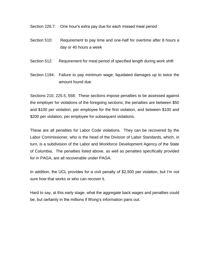Section 226.7: One hour's extra pay due for each missed meal period

- Section 510: Requirement to pay time and one-half for overtime after 8 hours a day or 40 hours a week
- Section 512: Requirement for meal period of specified length during work shift
- Section 1194: Failure to pay minimum wage; liquidated damages up to twice the amount found due

Sections 210, 225.5, 558: These sections impose penalties to be assessed against the employer for violations of the foregoing sections; the penalties are between \$50 and \$100 per violation, per employee for the first violation, and between \$100 and \$200 per violation, per employee for subsequent violations.

These are all penalties for Labor Code violations. They can be recovered by the Labor Commissioner, who is the head of the Division of Labor Standards, which, in turn, is a subdivision of the Labor and Workforce Development Agency of the State of Columbia. The penalties listed above, as well as penalties specifically provided for in PAGA, are all recoverable under PAGA.

In addition, the UCL provides for a civil penalty of \$2,500 per violation, but I'm not sure how that works or who can recover it.

Hard to say, at this early stage, what the aggregate back wages and penalties could be, but certainly in the millions if Wong's information pans out.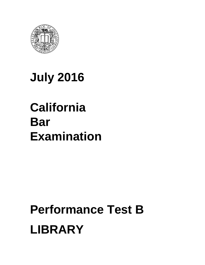

# **July 2016**

# **California Bar Examination**

# **Performance Test B LIBRARY**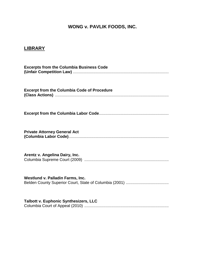## **WONG v. PAVLIK FOODS, INC.**

## **LIBRARY**

| <b>Excerpts from the Columbia Business Code</b>    |
|----------------------------------------------------|
| <b>Excerpt from the Columbia Code of Procedure</b> |
|                                                    |
| <b>Private Attorney General Act</b>                |
| Arentz v. Angelina Dairy, Inc.                     |
| Westlund v. Palladin Farms, Inc.                   |
| Talbott v. Euphonic Synthesizers, LLC              |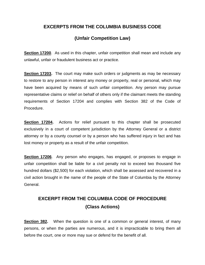### **EXCERPTS FROM THE COLUMBIA BUSINESS CODE**

## **(Unfair Competition Law)**

**Section 17200**. As used in this chapter, unfair competition shall mean and include any unlawful, unfair or fraudulent business act or practice.

**Section 17203.** The court may make such orders or judgments as may be necessary to restore to any person in interest any money or property, real or personal, which may have been acquired by means of such unfair competition. Any person may pursue representative claims or relief on behalf of others only if the claimant meets the standing requirements of Section 17204 and complies with Section 382 of the Code of Procedure.

**Section 17204.** Actions for relief pursuant to this chapter shall be prosecuted exclusively in a court of competent jurisdiction by the Attorney General or a district attorney or by a county counsel or by a person who has suffered injury in fact and has lost money or property as a result of the unfair competition.

**Section 17206**. Any person who engages, has engaged, or proposes to engage in unfair competition shall be liable for a civil penalty not to exceed two thousand five hundred dollars (\$2,500) for each violation, which shall be assessed and recovered in a civil action brought in the name of the people of the State of Columbia by the Attorney General.

# **EXCERPT FROM THE COLUMBIA CODE OF PROCEDURE (Class Actions)**

**Section 382.** When the question is one of a common or general interest, of many persons, or when the parties are numerous, and it is impracticable to bring them all before the court, one or more may sue or defend for the benefit of all.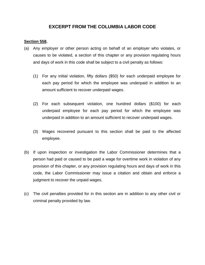### **EXCERPT FROM THE COLUMBIA LABOR CODE**

### **Section 558.**

- (a) Any employer or other person acting on behalf of an employer who violates, or causes to be violated, a section of this chapter or any provision regulating hours and days of work in this code shall be subject to a civil penalty as follows:
	- (1) For any initial violation, fifty dollars (\$50) for each underpaid employee for each pay period for which the employee was underpaid in addition to an amount sufficient to recover underpaid wages.
	- (2) For each subsequent violation, one hundred dollars (\$100) for each underpaid employee for each pay period for which the employee was underpaid in addition to an amount sufficient to recover underpaid wages.
	- (3) Wages recovered pursuant to this section shall be paid to the affected employee.
- (b) If upon inspection or investigation the Labor Commissioner determines that a person had paid or caused to be paid a wage for overtime work in violation of any provision of this chapter, or any provision regulating hours and days of work in this code, the Labor Commissioner may issue a citation and obtain and enforce a judgment to recover the unpaid wages.
- (c) The civil penalties provided for in this section are in addition to any other civil or criminal penalty provided by law.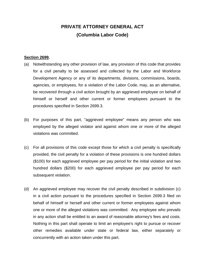## **PRIVATE ATTORNEY GENERAL ACT (Columbia Labor Code)**

#### **Section 2699.**

- (a) Notwithstanding any other provision of law, any provision of this code that provides for a civil penalty to be assessed and collected by the Labor and Workforce Development Agency or any of its departments, divisions, commissions, boards, agencies, or employees, for a violation of the Labor Code, may, as an alternative, be recovered through a civil action brought by an aggrieved employee on behalf of himself or herself and other current or former employees pursuant to the procedures specified in Section 2699.3.
- (b) For purposes of this part, "aggrieved employee" means any person who was employed by the alleged violator and against whom one or more of the alleged violations was committed.
- (c) For all provisions of this code except those for which a civil penalty is specifically provided, the civil penalty for a violation of these provisions is one hundred dollars (\$100) for each aggrieved employee per pay period for the initial violation and two hundred dollars (\$200) for each aggrieved employee per pay period for each subsequent violation.
- (d) An aggrieved employee may recover the civil penalty described in subdivision (c) in a civil action pursuant to the procedures specified in Section 2699.3 filed on behalf of himself or herself and other current or former employees against whom one or more of the alleged violations was committed. Any employee who prevails in any action shall be entitled to an award of reasonable attorney's fees and costs. Nothing in this part shall operate to limit an employee's right to pursue or recover other remedies available under state or federal law, either separately or concurrently with an action taken under this part.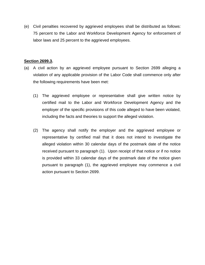(e) Civil penalties recovered by aggrieved employees shall be distributed as follows: 75 percent to the Labor and Workforce Development Agency for enforcement of labor laws and 25 percent to the aggrieved employees.

### **Section 2699.3.**

- (a) A civil action by an aggrieved employee pursuant to Section 2699 alleging a violation of any applicable provision of the Labor Code shall commence only after the following requirements have been met:
	- (1) The aggrieved employee or representative shall give written notice by certified mail to the Labor and Workforce Development Agency and the employer of the specific provisions of this code alleged to have been violated, including the facts and theories to support the alleged violation.
	- (2) The agency shall notify the employer and the aggrieved employee or representative by certified mail that it does not intend to investigate the alleged violation within 30 calendar days of the postmark date of the notice received pursuant to paragraph (1). Upon receipt of that notice or if no notice is provided within 33 calendar days of the postmark date of the notice given pursuant to paragraph (1), the aggrieved employee may commence a civil action pursuant to Section 2699.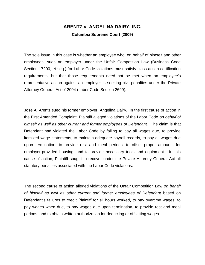## **ARENTZ v. ANGELINA DAIRY, INC. Columbia Supreme Court (2009)**

The sole issue in this case is whether an employee who, on behalf of himself and other employees, sues an employer under the Unfair Competition Law (Business Code Section 17200, et seq.) for Labor Code violations must satisfy class action certification requirements, but that those requirements need not be met when an employee's representative action against an employer is seeking civil penalties under the Private Attorney General Act of 2004 (Labor Code Section 2699).

Jose A. Arentz sued his former employer, Angelina Dairy. In the first cause of action in the First Amended Complaint, Plaintiff alleged violations of the Labor Code *on behalf of himself as well as other current and former employees of Defendant.* The claim is that Defendant had violated the Labor Code by failing to pay all wages due, to provide itemized wage statements, to maintain adequate payroll records, to pay all wages due upon termination, to provide rest and meal periods, to offset proper amounts for employer-provided housing, and to provide necessary tools and equipment. In this cause of action, Plaintiff sought to recover under the Private Attorney General Act all statutory penalties associated with the Labor Code violations.

The second cause of action alleged violations of the Unfair Competition Law *on behalf of himself as well as other current and former employees of Defendant* based on Defendant's failures to credit Plaintiff for all hours worked, to pay overtime wages, to pay wages when due, to pay wages due upon termination, to provide rest and meal periods, and to obtain written authorization for deducting or offsetting wages.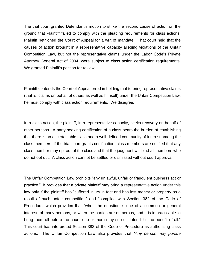The trial court granted Defendant's motion to strike the second cause of action on the ground that Plaintiff failed to comply with the pleading requirements for class actions. Plaintiff petitioned the Court of Appeal for a writ of mandate. That court held that the causes of action brought in a representative capacity alleging violations of the Unfair Competition Law, but not the representative claims under the Labor Code's Private Attorney General Act of 2004, were subject to class action certification requirements. We granted Plaintiff's petition for review.

Plaintiff contends the Court of Appeal erred in holding that to bring representative claims (that is, claims on behalf of others as well as himself) under the Unfair Competition Law, he must comply with class action requirements. We disagree.

In a class action, the plaintiff, in a representative capacity, seeks recovery on behalf of other persons. A party seeking certification of a class bears the burden of establishing that there is an ascertainable class and a well-defined community of interest among the class members. If the trial court grants certification, class members are notified that any class member may opt out of the class and that the judgment will bind all members who do not opt out. A class action cannot be settled or dismissed without court approval.

The Unfair Competition Law prohibits "any unlawful, unfair or fraudulent business act or practice." It provides that a private plaintiff may bring a representative action under this law only if the plaintiff has "suffered injury in fact and has lost money or property as a result of such unfair competition" and "complies with Section 382 of the Code of Procedure, which provides that "when the question is one of a common or general interest, of many persons, or when the parties are numerous, and it is impracticable to bring them all before the court, one or more may sue or defend for the benefit of all." This court has interpreted Section 382 of the Code of Procedure as authorizing class actions. The Unfair Competition Law also provides that "*Any person may pursue*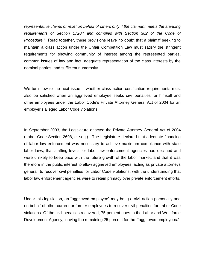*representative claims or relief on behalf of others only if the claimant meets the standing requirements of Section 17204 and complies with Section 382 of the Code of Procedure.*" Read together, these provisions leave no doubt that a plaintiff seeking to maintain a class action under the Unfair Competition Law must satisfy the stringent requirements for showing community of interest among the represented parties, common issues of law and fact, adequate representation of the class interests by the nominal parties, and sufficient numerosity.

We turn now to the next issue – whether class action certification requirements must also be satisfied when an aggrieved employee seeks civil penalties for himself and other employees under the Labor Code's Private Attorney General Act of 2004 for an employer's alleged Labor Code violations.

In September 2003, the Legislature enacted the Private Attorney General Act of 2004 (Labor Code Section 2698, et seq.). The Legislature declared that adequate financing of labor law enforcement was necessary to achieve maximum compliance with state labor laws, that staffing levels for labor law enforcement agencies had declined and were unlikely to keep pace with the future growth of the labor market, and that it was therefore in the public interest to allow aggrieved employees, acting as private attorneys general, to recover civil penalties for Labor Code violations, with the understanding that labor law enforcement agencies were to retain primacy over private enforcement efforts.

Under this legislation, an "aggrieved employee" may bring a civil action personally and on behalf of other current or former employees to recover civil penalties for Labor Code violations. Of the civil penalties recovered, 75 percent goes to the Labor and Workforce Development Agency, leaving the remaining 25 percent for the "aggrieved employees."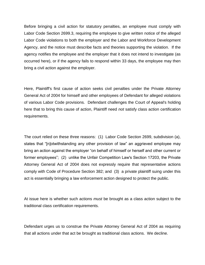Before bringing a civil action for statutory penalties, an employee must comply with Labor Code Section 2699.3, requiring the employee to give written notice of the alleged Labor Code violations to both the employer and the Labor and Workforce Development Agency, and the notice must describe facts and theories supporting the violation. If the agency notifies the employee and the employer that it does not intend to investigate (as occurred here), or if the agency fails to respond within 33 days, the employee may then bring a civil action against the employer.

Here, Plaintiff's first cause of action seeks civil penalties under the Private Attorney General Act of 2004 for himself and other employees of Defendant for alleged violations of various Labor Code provisions. Defendant challenges the Court of Appeal's holding here that to bring this cause of action, Plaintiff need *not* satisfy class action certification requirements.

The court relied on these three reasons: (1) Labor Code Section 2699, subdivision (a), states that "[n]otwithstanding any other provision of law" an aggrieved employee may bring an action against the employer "on behalf of himself or herself and other current or former employees"; (2) unlike the Unfair Competition Law's Section 17203, the Private Attorney General Act of 2004 does not expressly require that representative actions comply with Code of Procedure Section 382; and (3) a private plaintiff suing under this act is essentially bringing a law enforcement action designed to protect the public.

At issue here is whether such actions *must* be brought as a class action subject to the traditional class certification requirements.

Defendant urges us to construe the Private Attorney General Act of 2004 as requiring that all actions under that act be brought as traditional class actions. We decline.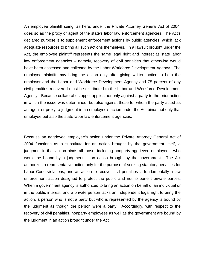An employee plaintiff suing, as here, under the Private Attorney General Act of 2004, does so as the proxy or agent of the state's labor law enforcement agencies. The Act's declared purpose is to supplement enforcement actions by public agencies, which lack adequate resources to bring all such actions themselves. In a lawsuit brought under the Act, the employee plaintiff represents the same legal right and interest as state labor law enforcement agencies – namely, recovery of civil penalties that otherwise would have been assessed and collected by the Labor Workforce Development Agency. The employee plaintiff may bring the action only after giving written notice to both the employer and the Labor and Workforce Development Agency and 75 percent of any civil penalties recovered must be distributed to the Labor and Workforce Development Agency. Because collateral estoppel applies not only against a party to the prior action in which the issue was determined, but also against those for whom the party acted as an agent or proxy, a judgment in an employee's action under the Act binds not only that employee but also the state labor law enforcement agencies.

Because an aggrieved employee's action under the Private Attorney General Act of 2004 functions as a substitute for an action brought by the government itself, a judgment in that action binds all those, including nonparty aggrieved employees, who would be bound by a judgment in an action brought by the government. The Act authorizes a representative action only for the purpose of seeking statutory penalties for Labor Code violations, and an action to recover civil penalties is fundamentally a law enforcement action designed to protect the public and not to benefit private parties. When a government agency is authorized to bring an action on behalf of an individual or in the public interest, and a private person lacks an independent legal right to bring the action, a person who is not a party but who is represented by the agency is bound by the judgment as though the person were a party. Accordingly, with respect to the recovery of civil penalties, nonparty employees as well as the government are bound by the judgment in an action brought under the Act.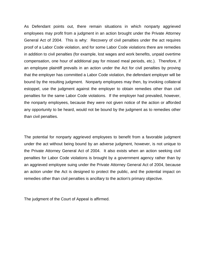As Defendant points out, there remain situations in which nonparty aggrieved employees may profit from a judgment in an action brought under the Private Attorney General Act of 2004. This is why: Recovery of civil penalties under the act requires proof of a Labor Code violation, and for some Labor Code violations there are remedies in addition to civil penalties (for example, lost wages and work benefits, unpaid overtime compensation, one hour of additional pay for missed meal periods, etc.). Therefore, if an employee plaintiff prevails in an action under the Act for civil penalties by proving that the employer has committed a Labor Code violation, the defendant employer will be bound by the resulting judgment. Nonparty employees may then, by invoking collateral estoppel, use the judgment against the employer to obtain remedies other than civil penalties for the same Labor Code violations. If the employer had prevailed, however, the nonparty employees, because they were not given notice of the action or afforded any opportunity to be heard, would not be bound by the judgment as to remedies other than civil penalties.

The potential for nonparty aggrieved employees to benefit from a favorable judgment under the act without being bound by an adverse judgment, however, is not unique to the Private Attorney General Act of 2004. It also exists when an action seeking civil penalties for Labor Code violations is brought by a government agency rather than by an aggrieved employee suing under the Private Attorney General Act of 2004, because an action under the Act is designed to protect the public, and the potential impact on remedies other than civil penalties is ancillary to the action's primary objective.

The judgment of the Court of Appeal is affirmed.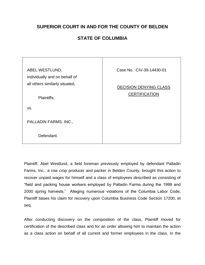## **SUPERIOR COURT IN AND FOR THE COUNTY OF BELDEN**

## **STATE OF COLUMBIA**

| ABEL WESTLUND,                 | Case No. CIV-39-14430-01      |
|--------------------------------|-------------------------------|
| individually and on behalf of  |                               |
| all others similarly situated, | <b>DECISION DENYING CLASS</b> |
| Plaintiffs,                    | <b>CERTIFICATION</b>          |
| VS.                            |                               |
| PALLADIN FARMS, INC.,          |                               |
| Defendant.                     |                               |

Plaintiff, Abel Westlund, a field foreman previously employed by defendant Palladin Farms, Inc., a row crop producer and packer in Belden County, brought this action to recover unpaid wages for himself and a class of employees described as consisting of "field and packing house workers employed by Palladin Farms during the 1999 and 2000 spring harvests." Alleging numerous violations of the Columbia Labor Code, Plaintiff bases his claim for recovery upon Columbia Business Code Section 17200, et seq.

After conducting discovery on the composition of the class, Plaintiff moved for certification of the described class and for an order allowing him to maintain the action as a class action on behalf of all current and former employees in the class. In the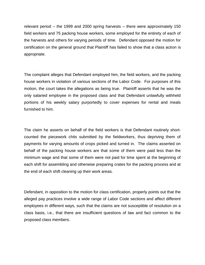relevant period – the 1999 and 2000 spring harvests – there were approximately 150 field workers and 75 packing house workers, some employed for the entirety of each of the harvests and others for varying periods of time. Defendant opposed the motion for certification on the general ground that Plaintiff has failed to show that a class action is appropriate.

The complaint alleges that Defendant employed him, the field workers, and the packing house workers in violation of various sections of the Labor Code. For purposes of this motion, the court takes the allegations as being true. Plaintiff asserts that he was the only salaried employee in the proposed class and that Defendant unlawfully withheld portions of his weekly salary purportedly to cover expenses for rental and meals furnished to him.

The claim he asserts on behalf of the field workers is that Defendant routinely shortcounted the piecework chits submitted by the fieldworkers, thus depriving them of payments for varying amounts of crops picked and turned in. The claims asserted on behalf of the packing house workers are that some of them were paid less than the minimum wage and that some of them were not paid for time spent at the beginning of each shift for assembling and otherwise preparing crates for the packing process and at the end of each shift cleaning up their work areas.

Defendant, in opposition to the motion for class certification, properly points out that the alleged pay practices involve a wide range of Labor Code sections and affect different employees in different ways, such that the claims are not susceptible of resolution on a class basis, i.e., that there are insufficient questions of law and fact common to the proposed class members.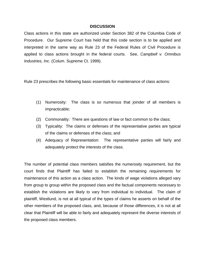#### **DISCUSSION**

Class actions in this state are authorized under Section 382 of the Columbia Code of Procedure. Our Supreme Court has held that this code section is to be applied and interpreted in the same way as Rule 23 of the Federal Rules of Civil Procedure is applied to class actions brought in the federal courts. See, *Campbell v. Omnibus Industries, Inc.* (Colum. Supreme Ct. 1999).

Rule 23 prescribes the following basic essentials for maintenance of class actions:

- (1) Numerosity: The class is so numerous that joinder of all members is impracticable;
- (2) Commonality: There are questions of law or fact common to the class;
- (3) Typicality: The claims or defenses of the representative parties are typical of the claims or defenses of the class; and
- (4) Adequacy of Representation: The representative parties will fairly and adequately protect the interests of the class.

The number of potential class members satisfies the numerosity requirement, but the court finds that Plaintiff has failed to establish the remaining requirements for maintenance of this action as a class action. The kinds of wage violations alleged vary from group to group within the proposed class and the factual components necessary to establish the violations are likely to vary from individual to individual. The claim of plaintiff, Westlund, is not at all typical of the types of claims he asserts on behalf of the other members of the proposed class, and, because of those differences, it is not at all clear that Plaintiff will be able to fairly and adequately represent the diverse interests of the proposed class members.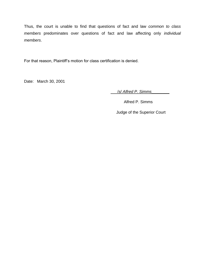Thus, the court is unable to find that questions of fact and law *common to class members* predominates over questions of fact and law affecting only *individual members*.

For that reason, Plaintiff's motion for class certification is denied.

Date: March 30, 2001

\_\_\_/*s*/ *Alfred P. Simms\_\_\_\_\_\_\_\_*

Alfred P. Simms

Judge of the Superior Court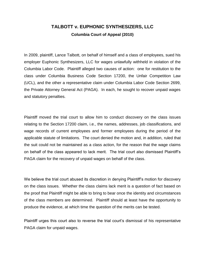## **TALBOTT v. EUPHONIC SYNTHESIZERS, LLC Columbia Court of Appeal (2010)**

In 2009, plaintiff, Lance Talbott, on behalf of himself and a class of employees, sued his employer Euphonic Synthesizers, LLC for wages unlawfully withheld in violation of the Columbia Labor Code. Plaintiff alleged two causes of action: one for restitution to the class under Columbia Business Code Section 17200, the Unfair Competition Law (UCL), and the other a representative claim under Columbia Labor Code Section 2699, the Private Attorney General Act (PAGA). In each, he sought to recover unpaid wages and statutory penalties.

Plaintiff moved the trial court to allow him to conduct discovery on the class issues relating to the Section 17200 claim, i.e., the names, addresses, job classifications, and wage records of current employees and former employees during the period of the applicable statute of limitations. The court denied the motion and, in addition, ruled that the suit could not be maintained as a class action, for the reason that the wage claims on behalf of the class appeared to lack merit. The trial court also dismissed Plaintiff's PAGA claim for the recovery of unpaid wages on behalf of the class.

We believe the trial court abused its discretion in denying Plaintiff's motion for discovery on the class issues. Whether the class claims lack merit is a question of fact based on the proof that Plaintiff might be able to bring to bear once the identity and circumstances of the class members are determined. Plaintiff should at least have the opportunity to produce the evidence, at which time the question of the merits can be tested.

Plaintiff urges this court also to reverse the trial court's dismissal of his representative PAGA claim for unpaid wages.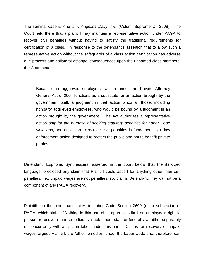The seminal case is *Arentz v. Angelina Dairy, Inc.* (Colum. Supreme Ct. 2009). The Court held there that a plaintiff may maintain a representative action under PAGA to recover civil penalties without having to satisfy the traditional requirements for certification of a class. In response to the defendant's assertion that to allow such a representative action without the safeguards of a class action certification has adverse due process and collateral estoppel consequences upon the unnamed class members, the Court stated:

Because an aggrieved employee's action under the Private Attorney General Act of 2004 functions as a substitute for an action brought by the government itself, a judgment in that action binds all those, including nonparty aggrieved employees, who would be bound by a judgment in an action brought by the government. The Act authorizes a representative action *only for the purpose of seeking statutory penalties for Labor Code violations*, and an action to recover civil penalties is fundamentally a law enforcement action designed to protect the public and not to benefit private parties.

Defendant, Euphonic Synthesizers, asserted in the court below that the italicized language foreclosed any claim that Plaintiff could assert for anything other than civil penalties, i.e., unpaid wages are not penalties, so, claims Defendant, they cannot be a component of any PAGA recovery.

Plaintiff, on the other hand, cites to Labor Code Section 2699 (d), a subsection of PAGA, which states, "Nothing in this part shall operate to limit an employee's right to pursue or recover other remedies available under state or federal law, either separately or concurrently with an action taken under this part." Claims for recovery of unpaid wages, argues Plaintiff, are "other remedies" under the Labor Code and, therefore, can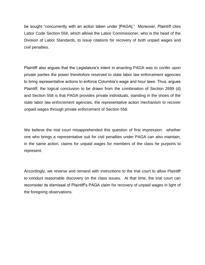be sought "concurrently with an action taken under [PAGA]." Moreover, Plaintiff cites Labor Code Section 558, which allows the Labor Commissioner, who is the head of the Division of Labor Standards, to issue citations for recovery of *both* unpaid wages and civil penalties.

Plaintiff also argues that the Legislature's intent in enacting PAGA was to confer upon private parties the power theretofore reserved to state labor law enforcement agencies to bring representative actions to enforce Columbia's wage and hour laws. Thus, argues Plaintiff, the logical conclusion to be drawn from the combination of Section 2699 (d) and Section 558 is that PAGA provides private individuals, standing in the shoes of the state labor law enforcement agencies, the representative action mechanism to recover unpaid wages through private enforcement of Section 558.

We believe the trial court misapprehended this question of first impression: whether one who brings a representative suit for civil penalties under PAGA can also maintain, in the same action, claims for unpaid wages for members of the class he purports to represent.

Accordingly, we reverse and remand with instructions to the trial court to allow Plaintiff to conduct reasonable discovery on the class issues. At that time, the trial court can reconsider its dismissal of Plaintiff's PAGA claim for recovery of unpaid wages in light of the foregoing observations.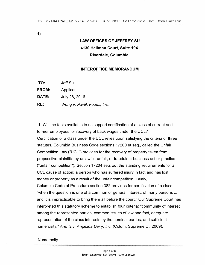**1)** 

## **LAW OFFICES OF JEFFREY SU 4130 Hellman Court, Suite 104 Riverdale, Columbia**

#### **INTEROFFICE MEMORANDUM**

| TO:   | Jeff Su                    |
|-------|----------------------------|
| FROM: | Applicant                  |
| DATE: | July 28, 2016              |
| RE:   | Wong v. Pavlik Foods, Inc. |

1. Will the facts available to us support certification of a class of current and former employees for recovery of back wages under the UCL? Certification of a class under the UCL relies upon satisfying the criteria of three statutes. Columbia Business Code sections 17200 et seq., called the Unfair Competition Law ("UCL") provides for the recovery of property taken from propsective plaintiffs by unlawful, unfair, or fraudulent business act or practice ("unfair competition"). Section 17204 sets out the standing requirements for a UCL cause of action: a person who has suffered injury in fact and has lost money or property as a result of the unfair competition. Lastly, Columbia Code of Procedure section 382 provides for certification of a class "when the question is one of a common or general interest, of many persons ... and it is impracticable to bring them all before the court." Our Supreme Court has interpreted this statutory scheme to establish four criteria: "community of interest among the represented parties, common issues of law and fact, adequate representation of the class interests by the nominal parties, and sufficient numerosity." *Arentz v. Angelina Dairy, Inc.* (Colum. Supreme Ct. 2009).

#### Numerosity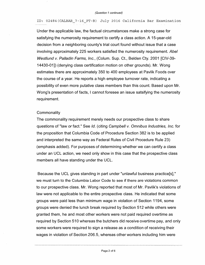ID: 02484(CALBAR\_7-16\_PT-B) July 2016 California Bar Examination

Under the applicable law, the factual circumstances make a strong case for satisfying the numerosity requirement to certify a class action. A 15-year-old decision from a neighboring county's trial court found without issue that a case involving approximately 225 workers satisfied the numerosity requirement. *Abel Westlund v. Palladin Farms, Inc.,* (Colum. Sup. Ct., Belden Cty. 2001 [CIV-39- 14430-01]) (denying class certification motion on other grounds). Mr. Wong estimates there are approximately 350 to 400 employees at Pavlik Foods over the course of a year. He reports a high employee turnover rate, indicating a possibility of even more putative class members than this count. Based upon Mr. Wong's presentation of facts, I cannot foresee an issue satsifying the numerosity requirement.

#### **Commonality**

The commonality requirement merely needs our prospective class to share questions of "law *or* fact." See *Id.* ( citing *Campbell v. Omnibus Industries, Inc.* for the proposition that Columbia Code of Procedure Section 382 is to be applied and interpreted the same way as Federal Rules of Civil Procedure Rule 23) (emphasis added). For purposes of determining whether we can certify a class under an UCL action, we need only show in this case that the prospective class members all have standing under the UCL.

Because the UCL gives standing in part under "unlawful business practice[s]," we must turn to the Columbia Labor Code to see if there are violations common to our prospective class. Mr. Wong reported that most of Mr. Pavlik's violations of law were not applicable to the entire prospective class. He indicated that some groups were paid less than minimum wage in violation of Section 1194, some groups were denied the lunch break required by Section 512 while others were granted them, he and most other workers were not paid required overtime as required by Section 510 whereas the butchers did receive overtime pay, and only some workers were required to sign a release as a condition of receiving their wages in violation of Section 206.5, whereas other workers including him were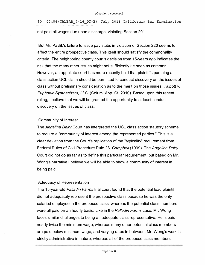ID: 02484(CALBAR\_7-16\_PT-B) July 2016 California Bar Examination not paid all wages due upon discharge, violating Section 201.

But Mr. Pavlik's failure to issue pay stubs in violation of Section 226 seems to affect the entire prospective class. This itself should satisfy the commonality criteria. The neighboring county court's decision from 15-years ago indicates the risk that the many other issues might not sufficiently be seen as common. However, an appellate court has more recently held that plaintiffs pursuing a class action UCL claim should be permitted to conduct discovery on the issues of class without preliminary consideration as to the merit on those issues. *Talbott v. Euphonic Synthesizers, LLC.* (Colum. App. Ct. 2010). Based upon this recent ruling, I believe that we will be granted the opportunity to at least conduct discovery on the issues of class.

#### Community of Interest

The *Angelina Dairy* Court has interpreted the UCL class action stautory scheme to require a "community of interest among the represented parties." This is a clear deviation from the Court's replication of the "typicality" requirement from Federal Rules of Civil Procedure Rule 23. *Campbell* (1999). The *Angelina Dairy*  Court did not go as far as to define this particular requirement, but based on Mr. Wong's narrative I believe we will be able to show a community of interest in being paid.

#### Adequacy of Representation

The 15-year-old *Palladin Farms* trial court found that the potential lead plaintiff did not adequately represent the prospective class because he was the only salaried employee in the proposed class, whereas the potential class members were all paid on an hourly basis. Like in the *Palladin Farms* case, Mr. Wong faces similar challenges to being an adequate class representative. He is paid nearly twice the minimum wage, whereas many other potential class members are paid below minimum wage, and varying rates in between. Mr. Wong's work is strictly administrative in nature, whereas all of the proposed class members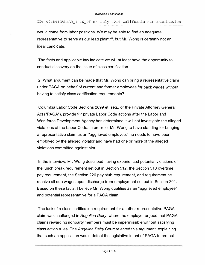ID: 02484(CALBAR\_7-16\_PT-B) July 2016 California Bar Examination

would come from labor positions. We may be able to find an adequate representative to serve as our lead plaintiff, but Mr. Wong is certainly not an ideal candidate.

The facts and applicable law indicate we will at least have the opportunity to conduct discovery on the issue of class certification.

2. What argument can be made that Mr. Wong can bring a representative claim under PAGA on behalf of current and former employees for back wages without having to satisfy class certification requirements?

Columbia Labor Code Sections 2699 et. seq., or the Private Attorney General Act ("PAGA"), provide for private Labor Code actions after the Labor and Workforce Development Agency has determined it will not investigate the alleged violations of the Labor Code. In order for Mr. Wong to have standing for bringing a representative claim as an "aggrieved employee," he needs to have been employed by the alleged violator and have had one or more of the alleged violations committed against him.

In the interview, Mr. Wong described having experienced potential violations of the lunch break requirement set out in Section 512, the Section 510 overtime pay requirement, the Section 226 pay stub requirement, and requirement he receive all due wages upon discharge from employment set out in Section 201. Based on these facts, I believe Mr. Wong qualifies as an "aggrieved employee" and potential representative for a PAGA claim.

The lack of a class certification requirement for another representative PAGA claim was challenged in *Angelina Dairy,* where the employer argued that PAGA claims rewarding nonparty members must be impermissible without satisfying class action rules. The *Angelina Dairy* Court rejected this argument, explaining that such an application would defeat the legislative intent of PAGA to protect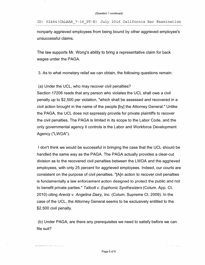ID: 02484(CALBAR\_7-16 PT-B) July 2016 California Bar Examination

nonparty aggrieved employees from being bound by other aggrieved employee's unsuccessful claims.

The law supports Mr. Wong's ability to bring a representative claim for back wages under the PAGA.

3. As to what monetary relief we can obtain, the following questions remain:

#### (a) Under the UCL, who may recover civil penalties?

Section 17206 reads that any person who violates the UCL shall owe a civil penalty up to \$2,500 per violation, "which shall be assessed and recovered in a civil action brought in the name of the people [by] the Attorney General." Unlike the PAGA, the UCL does not expressly provide for private plaintiffs to recover the civil penalties. The PAGA is limited in its scope to the Labor Code, and the only governmental agency it controls is the Labor and Workforce Development Agency ("LWDA").

I don't think we would be successful in bringing the case that the UCL should be handled the same way as the PAGA. The PAGA actually provides a clear-cut division as to the recovered civil penalties between the LWDA and the aggrieved employees, with only 25 percent for aggrieved employees. Indeed, our courts are consistent on the purpose of civil penalties. "[A]n action to recover civil penalties is fundamentally a law enforcement action designed to protect the public and not to benefit private parties." *Talbott v. Euphonic Synthesizers* (Colum. App. Ct. 2010) citing *Arentz v. Angelina Dairy, Inc.* (Colum. Supreme Ct. 2009). In the case of the UCL, the Attorney General seems to be exclusively entitled to the \$2,500 civil penalty.

(b) Under PAGA, are there any prerequisites we need to satisfy before we can file suit?